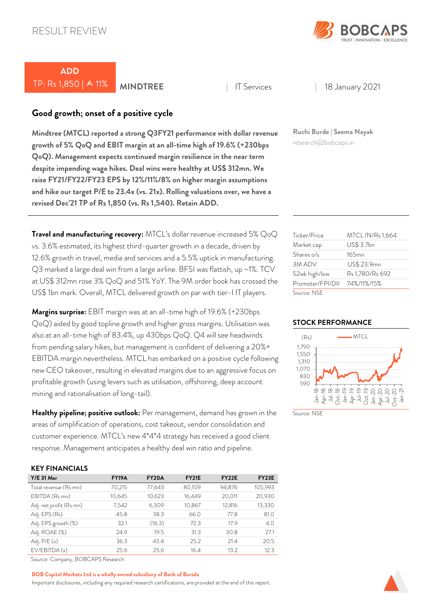

# *ADD*  TP: Rs 1,850 | 11% *MINDTREE* <sup>|</sup> IT Services | 18 January 2021

# *Good growth; onset of a positive cycle*

*Mindtree (MTCL) reported a strong Q3FY21 performance with dollar revenue growth of 5% QoQ and EBIT margin at an all-time high of 19.6% (+230bps QoQ). Management expects continued margin resilience in the near term despite impending wage hikes. Deal wins were healthy at US\$ 312mn. We raise FY21/FY22/FY23 EPS by 12%/11%/8% on higher margin assumptions and hike our target P/E to 23.4x (vs. 21x). Rolling valuations over, we have a revised Dec'21 TP of Rs 1,850 (vs. Rs 1,540). Retain ADD.* 

*Travel and manufacturing recovery:* MTCL's dollar revenue increased 5% QoQ vs. 3.6% estimated, its highest third-quarter growth in a decade, driven by 12.6% growth in travel, media and services and a 5.5% uptick in manufacturing. Q3 marked a large deal win from a large airline. BFSI was flattish, up ~1%. TCV at US\$ 312mn rose 3% QoQ and 51% YoY. The 9M order book has crossed the US\$ 1bn mark. Overall, MTCL delivered growth on par with tier-I IT players.

*Margins surprise:* EBIT margin was at an all-time high of 19.6% (+230bps QoQ) aided by good topline growth and higher gross margins. Utilisation was also at an all-time high of 83.4%, up 430bps QoQ. Q4 will see headwinds from pending salary hikes, but management is confident of delivering a 20%+ EBITDA margin nevertheless. MTCL has embarked on a positive cycle following new CEO takeover, resulting in elevated margins due to an aggressive focus on profitable growth (using levers such as utilisation, offshoring, deep account mining and rationalisation of long-tail).

*Healthy pipeline; positive outlook:* Per management, demand has grown in the areas of simplification of operations, cost takeout, vendor consolidation and customer experience. MTCL's new 4\*4\*4 strategy has received a good client response. Management anticipates a healthy deal win ratio and pipeline.

## *KEY FINANCIALS*

| $Y/E$ 31 Mar            | <b>FY19A</b> | FY <sub>20</sub> A | <b>FY21E</b> | FY <sub>22</sub> E | FY <sub>23</sub> E |
|-------------------------|--------------|--------------------|--------------|--------------------|--------------------|
| Total revenue (Rs mn)   | 70,215       | 77,643             | 80,109       | 94,876             | 105,993            |
| EBITDA (Rs mn)          | 10,645       | 10,623             | 16,449       | 20,011             | 20,930             |
| Adj. net profit (Rs mn) | 7,542        | 6,309              | 10,867       | 12,816             | 13,330             |
| Adj. EPS (Rs)           | 45.8         | 38.3               | 66.0         | 77.8               | 81.0               |
| Adj. EPS growth (%)     | 32.1         | (16.3)             | 72.3         | 17.9               | 4.0                |
| Adj. ROAE (%)           | 24.9         | 19.5               | 31.3         | 30.8               | 27.1               |
| Adj. $P/E(x)$           | 36.3         | 43.4               | 25.2         | 21.4               | 20.5               |
| EV/EBITDA(x)            | 25.6         | 25.6               | 16.4         | 13.2               | 12.3               |

Source: Company, BOBCAPS Research

#### *BOB Capital Markets Ltd is a wholly owned subsidiary of Bank of Baroda*

Important disclosures, including any required research certifications, are provided at the end of this report.

*Ruchi Burde | Seema Nayak* research@bobcaps.in

| Ticker/Price     | MTCL IN/Rs 1,664 |
|------------------|------------------|
| Market cap       | US\$ 3.7bn       |
| Shares o/s       | $165$ mn         |
| 3M ADV           | US\$ 23.9mn      |
| 52wk high/low    | Rs 1,780/Rs 692  |
| Promoter/FPI/DII | 74%/11%/15%      |
| Source: NSF      |                  |

#### *STOCK PERFORMANCE*



Source: NSF

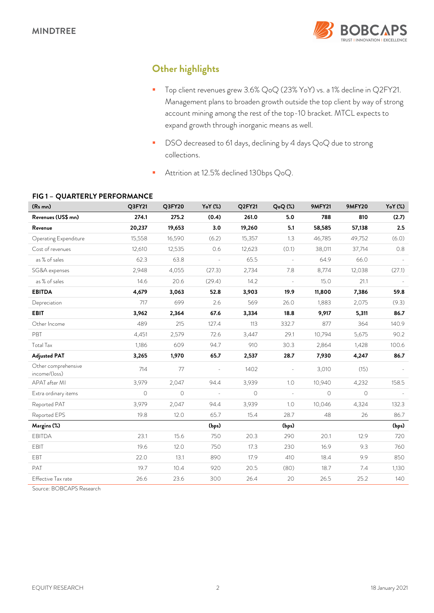

# *Other highlights*

- Top client revenues grew 3.6% QoQ (23% YoY) vs. a 1% decline in Q2FY21. Management plans to broaden growth outside the top client by way of strong account mining among the rest of the top-10 bracket. MTCL expects to expand growth through inorganic means as well.
- DSO decreased to 61 days, declining by 4 days QoQ due to strong collections.
- Attrition at 12.5% declined 130bps QoQ.

| (Rs mn)                              | Q3FY21  | Q3FY20  | YoY (%) | Q2FY21  | Q <sub>o</sub> Q(%) | <b>9MFY21</b> | <b>9MFY20</b> | YoY (%) |
|--------------------------------------|---------|---------|---------|---------|---------------------|---------------|---------------|---------|
| Revenues (US\$ mn)                   | 274.1   | 275.2   | (0.4)   | 261.0   | 5.0                 | 788           | 810           | (2.7)   |
| Revenue                              | 20,237  | 19,653  | 3.0     | 19,260  | 5.1                 | 58,585        | 57,138        | 2.5     |
| Operating Expenditure                | 15,558  | 16,590  | (6.2)   | 15,357  | 1.3                 | 46,785        | 49,752        | (6.0)   |
| Cost of revenues                     | 12,610  | 12,535  | 0.6     | 12,623  | (0.1)               | 38,011        | 37,714        | 0.8     |
| as % of sales                        | 62.3    | 63.8    | $\sim$  | 65.5    | $\Box$              | 64.9          | 66.0          |         |
| SG&A expenses                        | 2.948   | 4,055   | (27.3)  | 2,734   | 7.8                 | 8,774         | 12,038        | (27.1)  |
| as % of sales                        | 14.6    | 20.6    | (29.4)  | 14.2    | ÷,                  | 15.0          | 21.1          |         |
| <b>EBITDA</b>                        | 4,679   | 3,063   | 52.8    | 3,903   | 19.9                | 11,800        | 7,386         | 59.8    |
| Depreciation                         | 717     | 699     | 2.6     | 569     | 26.0                | 1,883         | 2,075         | (9.3)   |
| <b>EBIT</b>                          | 3,962   | 2,364   | 67.6    | 3,334   | 18.8                | 9,917         | 5,311         | 86.7    |
| Other Income                         | 489     | 215     | 127.4   | 113     | 332.7               | 877           | 364           | 140.9   |
| PBT                                  | 4,451   | 2,579   | 72.6    | 3,447   | 29.1                | 10,794        | 5,675         | 90.2    |
| Total Tax                            | 1,186   | 609     | 94.7    | 910     | 30.3                | 2,864         | 1,428         | 100.6   |
| <b>Adjusted PAT</b>                  | 3,265   | 1,970   | 65.7    | 2,537   | 28.7                | 7,930         | 4,247         | 86.7    |
| Other comprehensive<br>income/(loss) | 714     | 77      |         | 1402    |                     | 3,010         | (15)          |         |
| APAT after MI                        | 3,979   | 2,047   | 94.4    | 3,939   | 1.0                 | 10,940        | 4,232         | 158.5   |
| Extra ordinary items                 | $\circ$ | $\circ$ |         | $\circ$ | $\overline{a}$      | $\circ$       | $\circ$       |         |
| Reported PAT                         | 3,979   | 2,047   | 94.4    | 3,939   | 1.0                 | 10,046        | 4,324         | 132.3   |
| Reported EPS                         | 19.8    | 12.0    | 65.7    | 15.4    | 28.7                | 48            | 26            | 86.7    |
| Margins (%)                          |         |         | (bps)   |         | (bps)               |               |               | (bps)   |
| <b>EBITDA</b>                        | 23.1    | 15.6    | 750     | 20.3    | 290                 | 20.1          | 12.9          | 720     |
| <b>EBIT</b>                          | 19.6    | 12.0    | 750     | 17.3    | 230                 | 16.9          | 9.3           | 760     |
| EBT                                  | 22.0    | 13.1    | 890     | 17.9    | 410                 | 18.4          | 9.9           | 850     |
| PAT                                  | 19.7    | 10.4    | 920     | 20.5    | (80)                | 18.7          | 7.4           | 1,130   |
| Effective Tax rate                   | 26.6    | 23.6    | 300     | 26.4    | 20                  | 26.5          | 25.2          | 140     |

## *FIG 1 – QUARTERLY PERFORMANCE*

Source: BOBCAPS Research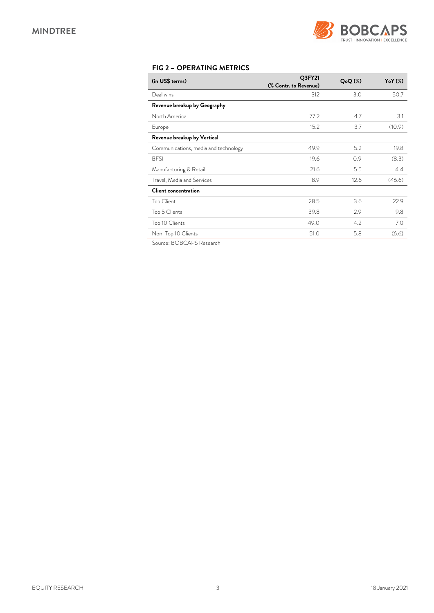

# *FIG 2 – OPERATING METRICS*

| (in US\$ terms)                      | Q3FY21<br>(% Contr. to Revenue) | $Q_0Q$ $(\%)$ | Y <sub>o</sub> Y (%) |
|--------------------------------------|---------------------------------|---------------|----------------------|
| Deal wins                            | 312                             | 3.0           | 50.7                 |
| Revenue breakup by Geography         |                                 |               |                      |
| North America                        | 77.2                            | 4.7           | 3.1                  |
| Europe                               | 15.2                            | 3.7           | (10.9)               |
| Revenue breakup by Vertical          |                                 |               |                      |
| Communications, media and technology | 49.9                            | 5.2           | 19.8                 |
| <b>BFSI</b>                          | 19.6                            | 0.9           | (8.3)                |
| Manufacturing & Retail               | 21.6                            | 5.5           | 4.4                  |
| Travel, Media and Services           | 8.9                             | 12.6          | (46.6)               |
| Client concentration                 |                                 |               |                      |
| <b>Top Client</b>                    | 28.5                            | 3.6           | 22.9                 |
| Top 5 Clients                        | 39.8                            | 2.9           | 9.8                  |
| Top 10 Clients                       | 49.0                            | 4.2           | 7.0                  |
| Non-Top 10 Clients                   | 51.0                            | 5.8           | (6.6)                |

Source: BOBCAPS Research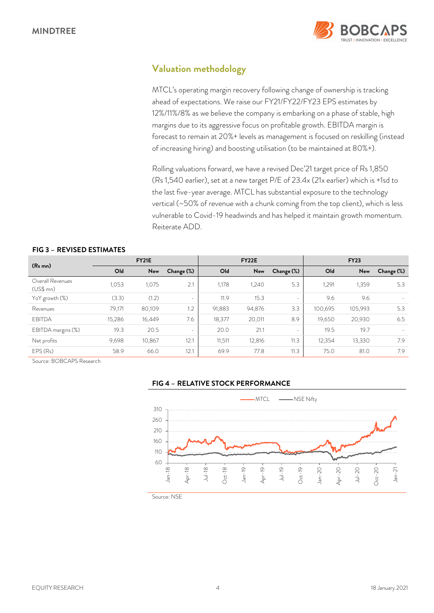

# *Valuation methodology*

MTCL's operating margin recovery following change of ownership is tracking ahead of expectations. We raise our FY21/FY22/FY23 EPS estimates by 12%/11%/8% as we believe the company is embarking on a phase of stable, high margins due to its aggressive focus on profitable growth. EBITDA margin is forecast to remain at 20%+ levels as management is focused on reskilling (instead of increasing hiring) and boosting utilisation (to be maintained at 80%+).

Rolling valuations forward, we have a revised Dec'21 target price of Rs 1,850 (Rs 1,540 earlier), set at a new target P/E of 23.4x (21x earlier) which is +1sd to the last five-year average. MTCL has substantial exposure to the technology vertical (~50% of revenue with a chunk coming from the top client), which is less vulnerable to Covid-19 headwinds and has helped it maintain growth momentum. Reiterate ADD.

|                                   |        | <b>FY21E</b> |                          |        | <b>FY22E</b> |                          |         | <b>FY23</b> |            |
|-----------------------------------|--------|--------------|--------------------------|--------|--------------|--------------------------|---------|-------------|------------|
| (R <sub>s</sub> mn)               | Old    | New          | Change (%)               | Old    | New          | Change (%)               | Old     | New         | Change (%) |
| Overall Revenues<br>$(US$$ mn $)$ | 1,053  | 1,075        | 2.1                      | 1,178  | 1,240        | 5.3                      | 1,291   | 1,359       | 5.3        |
| YoY growth (%)                    | (3.3)  | (1.2)        | $\overline{\phantom{a}}$ | 11.9   | 15.3         | $\overline{\phantom{a}}$ | 9.6     | 9.6         |            |
| Revenues                          | 79,171 | 80,109       | 1.2                      | 91,883 | 94,876       | 3.3                      | 100.695 | 105,993     | 5.3        |
| <b>EBITDA</b>                     | 15,286 | 16,449       | 7.6                      | 18,377 | 20,011       | 8.9                      | 19,650  | 20,930      | 6.5        |
| EBITDA margins (%)                | 19.3   | 20.5         | $\sim$                   | 20.0   | 21.1         | $\overline{\phantom{a}}$ | 19.5    | 19.7        |            |
| Net profits                       | 9,698  | 10,867       | 12.1                     | 11,511 | 12,816       | 11.3                     | 12,354  | 13,330      | 7.9        |
| EPS(Rs)                           | 58.9   | 66.0         | 12.1                     | 69.9   | 77.8         | 11.3                     | 75.0    | 81.0        | 7.9        |

#### *FIG 3 – REVISED ESTIMATES*

Source: BOBCAPS Research



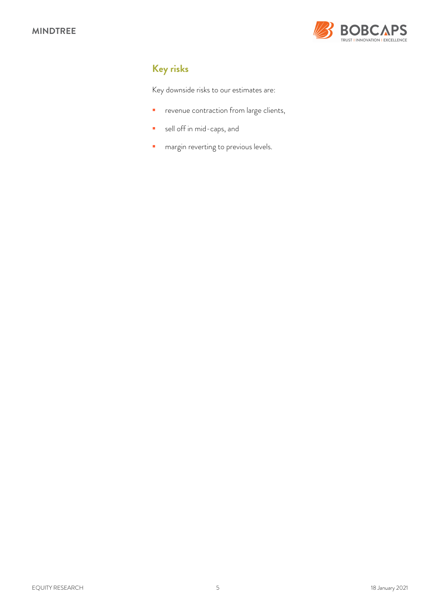

# *Key risks*

Key downside risks to our estimates are:

- **P** revenue contraction from large clients,
- sell off in mid-caps, and
- **n** margin reverting to previous levels.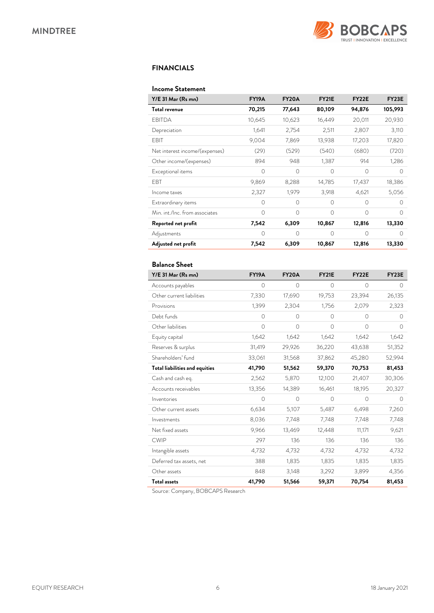

## *FINANCIALS*

#### *Income Statement*

| Y/E 31 Mar (Rs mn)             | <b>FY19A</b> | FY <sub>20</sub> A | <b>FY21E</b> | FY <sub>22</sub> E | FY23E     |
|--------------------------------|--------------|--------------------|--------------|--------------------|-----------|
| Total revenue                  | 70,215       | 77,643             | 80,109       | 94,876             | 105,993   |
| EBITDA                         | 10,645       | 10,623             | 16,449       | 20,011             | 20,930    |
| Depreciation                   | 1,641        | 2,754              | 2,511        | 2,807              | 3,110     |
| EBIT                           | 9,004        | 7,869              | 13,938       | 17,203             | 17,820    |
| Net interest income/(expenses) | (29)         | (529)              | (540)        | (680)              | (720)     |
| Other income/(expenses)        | 894          | 948                | 1,387        | 914                | 1,286     |
| Exceptional items              | $\bigcap$    | $\Omega$           | $\Omega$     | $\bigcap$          | ∩         |
| <b>FBT</b>                     | 9,869        | 8,288              | 14,785       | 17,437             | 18,386    |
| Income taxes                   | 2,327        | 1,979              | 3,918        | 4,621              | 5,056     |
| Extraordinary items            | $\Omega$     | $\Omega$           | $\Omega$     | $\Omega$           | ∩         |
| Min. int./Inc. from associates | $\bigcap$    | $\bigcap$          | $\Omega$     | $\bigcap$          | ∩         |
| Reported net profit            | 7,542        | 6,309              | 10,867       | 12,816             | 13,330    |
| Adjustments                    | $\Omega$     | $\Omega$           | $\Omega$     | $\Omega$           | $\bigcap$ |
| Adjusted net profit            | 7,542        | 6,309              | 10,867       | 12,816             | 13,330    |

## *Balance Sheet*

| Y/E 31 Mar (Rs mn)                    | <b>FY19A</b> | <b>FY20A</b> | <b>FY21E</b> | FY22E    | FY23E      |
|---------------------------------------|--------------|--------------|--------------|----------|------------|
| Accounts payables                     | 0            | 0            | 0            | 0        | 0          |
| Other current liabilities             | 7,330        | 17,690       | 19,753       | 23,394   | 26,135     |
| Provisions                            | 1,399        | 2,304        | 1,756        | 2,079    | 2,323      |
| Debt funds                            | $\circ$      | $\Omega$     | $\circ$      | $\circ$  | $\Omega$   |
| Other liabilities                     | $\circ$      | $\circ$      | $\circ$      | $\circ$  | $\circ$    |
| Equity capital                        | 1,642        | 1,642        | 1,642        | 1,642    | 1,642      |
| Reserves & surplus                    | 31,419       | 29,926       | 36,220       | 43,638   | 51,352     |
| Shareholders' fund                    | 33,061       | 31,568       | 37,862       | 45,280   | 52,994     |
| <b>Total liabilities and equities</b> | 41,790       | 51,562       | 59,370       | 70,753   | 81,453     |
| Cash and cash eq.                     | 2,562        | 5,870        | 12,100       | 21,407   | 30,306     |
| Accounts receivables                  | 13,356       | 14,389       | 16,461       | 18,195   | 20,327     |
| Inventories                           | $\Omega$     | $\Omega$     | $\Omega$     | $\Omega$ | $\bigcirc$ |
| Other current assets                  | 6,634        | 5,107        | 5,487        | 6,498    | 7,260      |
| Investments                           | 8,036        | 7,748        | 7,748        | 7,748    | 7,748      |
| Net fixed assets                      | 9,966        | 13,469       | 12,448       | 11,171   | 9,621      |
| <b>CWIP</b>                           | 297          | 136          | 136          | 136      | 136        |
| Intangible assets                     | 4,732        | 4,732        | 4,732        | 4,732    | 4,732      |
| Deferred tax assets, net              | 388          | 1,835        | 1,835        | 1,835    | 1,835      |
| Other assets                          | 848          | 3,148        | 3,292        | 3,899    | 4,356      |
| <b>Total assets</b>                   | 41,790       | 51,566       | 59,371       | 70,754   | 81,453     |

Source: Company, BOBCAPS Research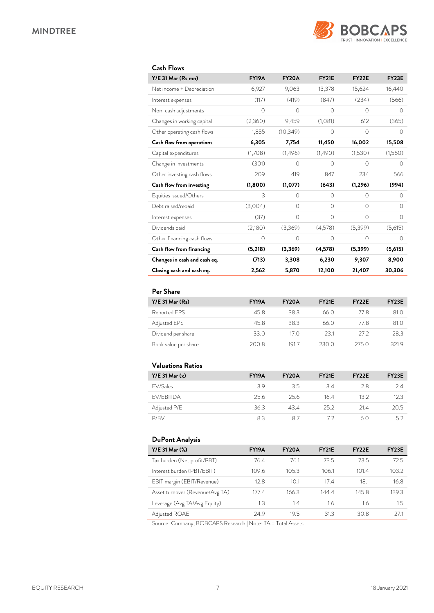

## *Cash Flows*

| Y/E 31 Mar (Rs mn)           | <b>FY19A</b> | <b>FY20A</b> | <b>FY21E</b> | FY22E     | <b>FY23E</b> |
|------------------------------|--------------|--------------|--------------|-----------|--------------|
| Net income + Depreciation    | 6,927        | 9,063        | 13,378       | 15,624    | 16,440       |
| Interest expenses            | (117)        | (419)        | (847)        | (234)     | (566)        |
| Non-cash adjustments         | $\circ$      | $\circ$      | 0            | $\circ$   | 0            |
| Changes in working capital   | (2,360)      | 9,459        | (1,081)      | 612       | (365)        |
| Other operating cash flows   | 1,855        | (10, 349)    | 0            | 0         | Ω            |
| Cash flow from operations    | 6,305        | 7,754        | 11,450       | 16,002    | 15,508       |
| Capital expenditures         | (1,708)      | (1,496)      | (1,490)      | (1,530)   | (1,560)      |
| Change in investments        | (301)        | $\bigcap$    | $\bigcap$    | $\bigcap$ | $\bigcap$    |
| Other investing cash flows   | 209          | 419          | 847          | 234       | 566          |
| Cash flow from investing     | (1,800)      | (1,077)      | (643)        | (1, 296)  | (994)        |
| Equities issued/Others       | 3            | $\Omega$     | $\Omega$     | $\Omega$  | 0            |
| Debt raised/repaid           | (3,004)      | $\Omega$     | $\Omega$     | $\Omega$  | $\Omega$     |
| Interest expenses            | (37)         | $\Omega$     | $\Omega$     | $\Omega$  | $\Omega$     |
| Dividends paid               | (2,180)      | (3,369)      | (4,578)      | (5,399)   | (5,615)      |
| Other financing cash flows   | $\circ$      | 0            | $\Omega$     | $\Omega$  | $\Omega$     |
| Cash flow from financing     | (5,218)      | (3,369)      | (4,578)      | (5, 399)  | (5,615)      |
| Changes in cash and cash eq. | (713)        | 3,308        | 6,230        | 9,307     | 8,900        |
| Closing cash and cash eq.    | 2,562        | 5,870        | 12,100       | 21,407    | 30,306       |

# *Per Share*

| $Y/E$ 31 Mar $(Rs)$  | <b>FY19A</b> | <b>FY20A</b> | <b>FY21E</b> | FY <sub>2</sub> 2E | FY <sub>23</sub> E |
|----------------------|--------------|--------------|--------------|--------------------|--------------------|
| Reported EPS         | 45.8         | 38.3         | 66.0         | 778                | 81.0               |
| Adjusted EPS         | 45.8         | 383          | 66.0         | 77 R               | 81.0               |
| Dividend per share   | 33.0         | 17 O         | 231          | $272$              | 28.3               |
| Book value per share | 200.8        | 191.7        | 230 O        | 275 O              | 3219               |

# *Valuations Ratios*

| $Y/E$ 31 Mar $(x)$ | <b>FY19A</b> | <b>FY20A</b> | <b>FY21E</b> | FY <sub>22</sub> E | FY <sub>23</sub> E |
|--------------------|--------------|--------------|--------------|--------------------|--------------------|
| FV/Sales           | 39           | 3.5          | 34           | 28                 | 2.4                |
| <b>FV/FBITDA</b>   | 25.6         | 256          | 164          | 132                | 12.3               |
| Adjusted P/E       | 36.3         | 434          | 25.2         | 214                | 20.5               |
| P/RV               | 83           | 87           | 77           | 60                 | 5.2                |

## *DuPont Analysis*

| Y/E 31 Mar (%)                  | <b>FY19A</b> | FY <sub>20</sub> A | FY <sub>21</sub> E | FY <sub>22</sub> E | FY <sub>23</sub> E |
|---------------------------------|--------------|--------------------|--------------------|--------------------|--------------------|
| Tax burden (Net profit/PBT)     | 76.4         | 76.1               | 73.5               | 73.5               | 72.5               |
| Interest burden (PBT/EBIT)      | 109.6        | 105.3              | 106.1              | 101.4              | 103.2              |
| EBIT margin (EBIT/Revenue)      | 12.8         | 10.1               | 17 4               | 18.1               | 16.8               |
| Asset turnover (Revenue/Avg TA) | 177.4        | 166.3              | 144.4              | 145.8              | 139.3              |
| Leverage (Avg TA/Avg Equity)    | 1.3          | 1.4                | 1.6                | 1.6                | 1.5                |
| Adjusted ROAE                   | 24.9         | 19.5               | 31.3               | 30.8               | 271                |

Source: Company, BOBCAPS Research | Note: TA = Total Assets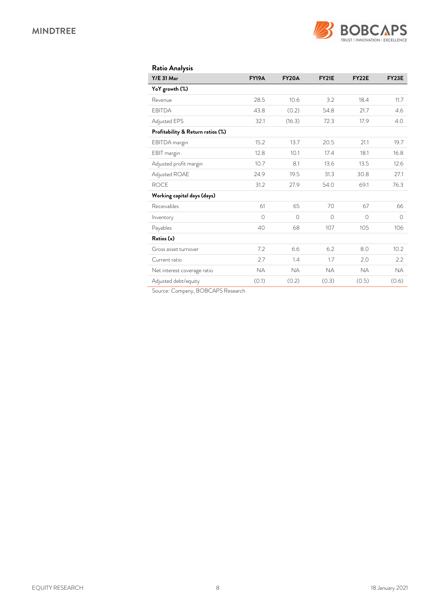

| <b>Ratio Analysis</b>             |              |              |              |              |            |
|-----------------------------------|--------------|--------------|--------------|--------------|------------|
| <b>Y/E 31 Mar</b>                 | <b>FY19A</b> | <b>FY20A</b> | <b>FY21E</b> | <b>FY22E</b> | FY23E      |
| YoY growth (%)                    |              |              |              |              |            |
| Revenue                           | 28.5         | 10.6         | 3.2          | 18.4         | 11.7       |
| <b>EBITDA</b>                     | 43.8         | (0.2)        | 54.8         | 21.7         | 4.6        |
| Adjusted EPS                      | 32.1         | (16.3)       | 72.3         | 17.9         | 4.0        |
| Profitability & Return ratios (%) |              |              |              |              |            |
| EBITDA margin                     | 15.2         | 13.7         | 20.5         | 21.1         | 19.7       |
| EBIT margin                       | 12.8         | 10.1         | 17.4         | 18.1         | 16.8       |
| Adjusted profit margin            | 10.7         | 8.1          | 13.6         | 13.5         | 12.6       |
| Adjusted ROAE                     | 24.9         | 19.5         | 31.3         | 30.8         | 27.1       |
| <b>ROCE</b>                       | 31.2         | 27.9         | 54.0         | 69.1         | 76.3       |
| Working capital days (days)       |              |              |              |              |            |
| Receivables                       | 61           | 65           | 70           | 67           | 66         |
| Inventory                         | $\Omega$     | $\Omega$     | $\bigcirc$   | $\Omega$     | $\bigcirc$ |
| Payables                          | 40           | 68           | 107          | 105          | 106        |
| Ratios (x)                        |              |              |              |              |            |
| Gross asset turnover              | 7.2          | 6.6          | 6.2          | 8.0          | 10.2       |
| Current ratio                     | 2.7          | 1.4          | 1.7          | 2.0          | 2.2        |
| Net interest coverage ratio       | <b>NA</b>    | <b>NA</b>    | <b>NA</b>    | <b>NA</b>    | <b>NA</b>  |
| Adjusted debt/equity              | (0.1)        | (0.2)        | (0.3)        | (0.5)        | (0.6)      |

Source: Company, BOBCAPS Research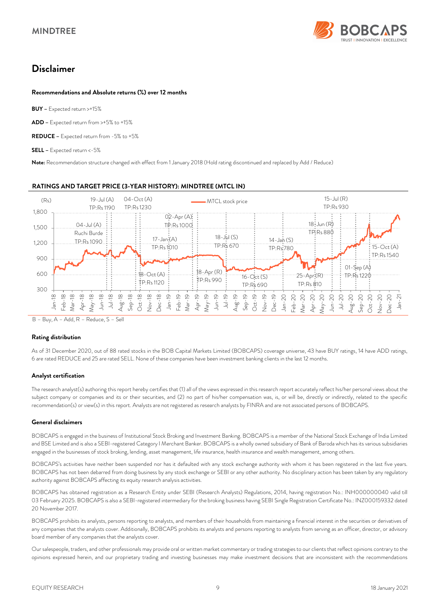

# *Disclaimer*

#### *Recommendations and Absolute returns (%) over 12 months*

*BUY –* Expected return >+15%

*ADD –* Expected return from >+5% to +15%

*REDUCE –* Expected return from -5% to +5%

*SELL –* Expected return <-5%

*Note:* Recommendation structure changed with effect from 1 January 2018 (Hold rating discontinued and replaced by Add / Reduce)

#### *RATINGS AND TARGET PRICE (3-YEAR HISTORY): MINDTREE (MTCL IN)*



B – Buy, A – Add, R – Reduce, S – Sell

#### *Rating distribution*

As of 31 December 2020, out of 88 rated stocks in the BOB Capital Markets Limited (BOBCAPS) coverage universe, 43 have BUY ratings, 14 have ADD ratings, 6 are rated REDUCE and 25 are rated SELL. None of these companies have been investment banking clients in the last 12 months.

#### *Analyst certification*

The research analyst(s) authoring this report hereby certifies that (1) all of the views expressed in this research report accurately reflect his/her personal views about the subject company or companies and its or their securities, and (2) no part of his/her compensation was, is, or will be, directly or indirectly, related to the specific recommendation(s) or view(s) in this report. Analysts are not registered as research analysts by FINRA and are not associated persons of BOBCAPS.

#### *General disclaimers*

BOBCAPS is engaged in the business of Institutional Stock Broking and Investment Banking. BOBCAPS is a member of the National Stock Exchange of India Limited and BSE Limited and is also a SEBI-registered Category I Merchant Banker. BOBCAPS is a wholly owned subsidiary of Bank of Baroda which has its various subsidiaries engaged in the businesses of stock broking, lending, asset management, life insurance, health insurance and wealth management, among others.

BOBCAPS's activities have neither been suspended nor has it defaulted with any stock exchange authority with whom it has been registered in the last five years. BOBCAPS has not been debarred from doing business by any stock exchange or SEBI or any other authority. No disciplinary action has been taken by any regulatory authority against BOBCAPS affecting its equity research analysis activities.

BOBCAPS has obtained registration as a Research Entity under SEBI (Research Analysts) Regulations, 2014, having registration No.: INH000000040 valid till 03 February 2025. BOBCAPS is also a SEBI-registered intermediary for the broking business having SEBI Single Registration Certificate No.: INZ000159332 dated 20 November 2017.

BOBCAPS prohibits its analysts, persons reporting to analysts, and members of their households from maintaining a financial interest in the securities or derivatives of any companies that the analysts cover. Additionally, BOBCAPS prohibits its analysts and persons reporting to analysts from serving as an officer, director, or advisory board member of any companies that the analysts cover.

Our salespeople, traders, and other professionals may provide oral or written market commentary or trading strategies to our clients that reflect opinions contrary to the opinions expressed herein, and our proprietary trading and investing businesses may make investment decisions that are inconsistent with the recommendations